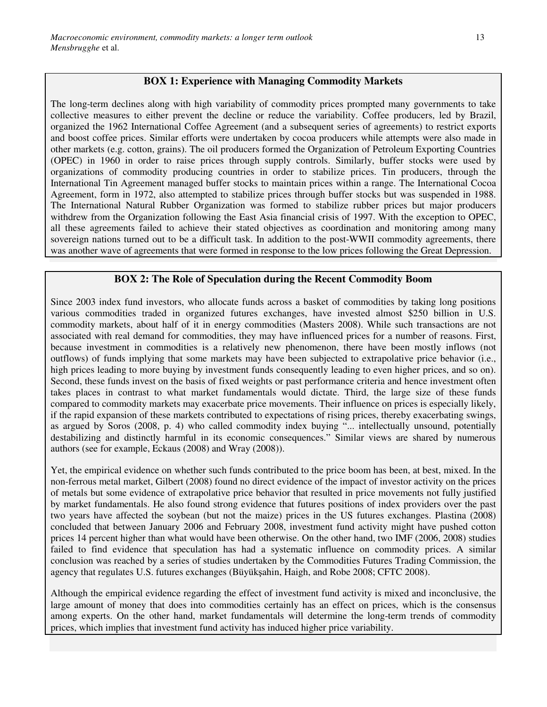#### **BOX 1: Experience with Managing Commodity Markets**

The long-term declines along with high variability of commodity prices prompted many governments to take collective measures to either prevent the decline or reduce the variability. Coffee producers, led by Brazil, organized the 1962 International Coffee Agreement (and a subsequent series of agreements) to restrict exports and boost coffee prices. Similar efforts were undertaken by cocoa producers while attempts were also made in other markets (e.g. cotton, grains). The oil producers formed the Organization of Petroleum Exporting Countries (OPEC) in 1960 in order to raise prices through supply controls. Similarly, buffer stocks were used by organizations of commodity producing countries in order to stabilize prices. Tin producers, through the International Tin Agreement managed buffer stocks to maintain prices within a range. The International Cocoa Agreement, form in 1972, also attempted to stabilize prices through buffer stocks but was suspended in 1988. The International Natural Rubber Organization was formed to stabilize rubber prices but major producers withdrew from the Organization following the East Asia financial crisis of 1997. With the exception to OPEC, all these agreements failed to achieve their stated objectives as coordination and monitoring among many sovereign nations turned out to be a difficult task. In addition to the post-WWII commodity agreements, there was another wave of agreements that were formed in response to the low prices following the Great Depression.

#### **BOX 2: The Role of Speculation during the Recent Commodity Boom**

Since 2003 index fund investors, who allocate funds across a basket of commodities by taking long positions various commodities traded in organized futures exchanges, have invested almost \$250 billion in U.S. commodity markets, about half of it in energy commodities (Masters 2008). While such transactions are not associated with real demand for commodities, they may have influenced prices for a number of reasons. First, because investment in commodities is a relatively new phenomenon, there have been mostly inflows (not outflows) of funds implying that some markets may have been subjected to extrapolative price behavior (i.e., high prices leading to more buying by investment funds consequently leading to even higher prices, and so on). Second, these funds invest on the basis of fixed weights or past performance criteria and hence investment often takes places in contrast to what market fundamentals would dictate. Third, the large size of these funds compared to commodity markets may exacerbate price movements. Their influence on prices is especially likely, if the rapid expansion of these markets contributed to expectations of rising prices, thereby exacerbating swings, as argued by Soros (2008, p. 4) who called commodity index buying "... intellectually unsound, potentially destabilizing and distinctly harmful in its economic consequences." Similar views are shared by numerous authors (see for example, Eckaus (2008) and Wray (2008)).

Yet, the empirical evidence on whether such funds contributed to the price boom has been, at best, mixed. In the non-ferrous metal market, Gilbert (2008) found no direct evidence of the impact of investor activity on the prices of metals but some evidence of extrapolative price behavior that resulted in price movements not fully justified by market fundamentals. He also found strong evidence that futures positions of index providers over the past two years have affected the soybean (but not the maize) prices in the US futures exchanges. Plastina (2008) concluded that between January 2006 and February 2008, investment fund activity might have pushed cotton prices 14 percent higher than what would have been otherwise. On the other hand, two IMF (2006, 2008) studies failed to find evidence that speculation has had a systematic influence on commodity prices. A similar conclusion was reached by a series of studies undertaken by the Commodities Futures Trading Commission, the agency that regulates U.S. futures exchanges (Büyükşahin, Haigh, and Robe 2008; CFTC 2008).

Although the empirical evidence regarding the effect of investment fund activity is mixed and inconclusive, the large amount of money that does into commodities certainly has an effect on prices, which is the consensus among experts. On the other hand, market fundamentals will determine the long-term trends of commodity prices, which implies that investment fund activity has induced higher price variability.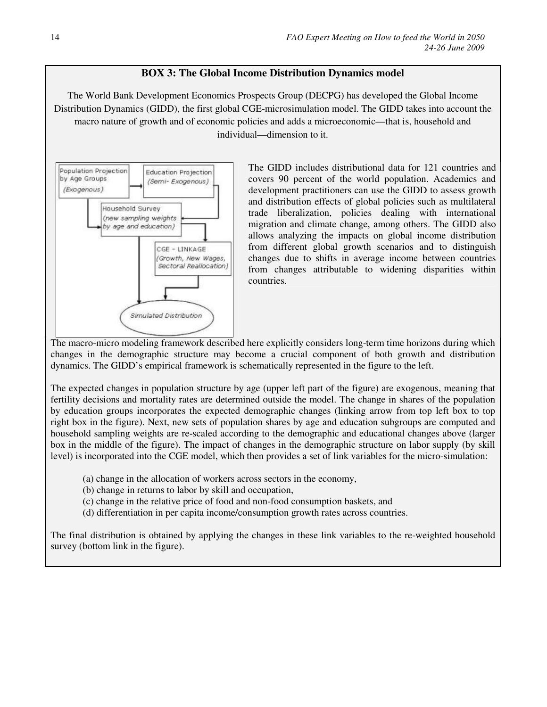### **BOX 3: The Global Income Distribution Dynamics model**

The World Bank Development Economics Prospects Group (DECPG) has developed the Global Income Distribution Dynamics (GIDD), the first global CGE-microsimulation model. The GIDD takes into account the macro nature of growth and of economic policies and adds a microeconomic—that is, household and individual—dimension to it.



The GIDD includes distributional data for 121 countries and covers 90 percent of the world population. Academics and development practitioners can use the GIDD to assess growth and distribution effects of global policies such as multilateral trade liberalization, policies dealing with international migration and climate change, among others. The GIDD also allows analyzing the impacts on global income distribution from different global growth scenarios and to distinguish changes due to shifts in average income between countries from changes attributable to widening disparities within countries.

The macro-micro modeling framework described here explicitly considers long-term time horizons during which changes in the demographic structure may become a crucial component of both growth and distribution dynamics. The GIDD's empirical framework is schematically represented in the figure to the left.

The expected changes in population structure by age (upper left part of the figure) are exogenous, meaning that fertility decisions and mortality rates are determined outside the model. The change in shares of the population by education groups incorporates the expected demographic changes (linking arrow from top left box to top right box in the figure). Next, new sets of population shares by age and education subgroups are computed and household sampling weights are re-scaled according to the demographic and educational changes above (larger box in the middle of the figure). The impact of changes in the demographic structure on labor supply (by skill level) is incorporated into the CGE model, which then provides a set of link variables for the micro-simulation:

- (a) change in the allocation of workers across sectors in the economy,
- (b) change in returns to labor by skill and occupation,
- (c) change in the relative price of food and non-food consumption baskets, and
- (d) differentiation in per capita income/consumption growth rates across countries.

The final distribution is obtained by applying the changes in these link variables to the re-weighted household survey (bottom link in the figure).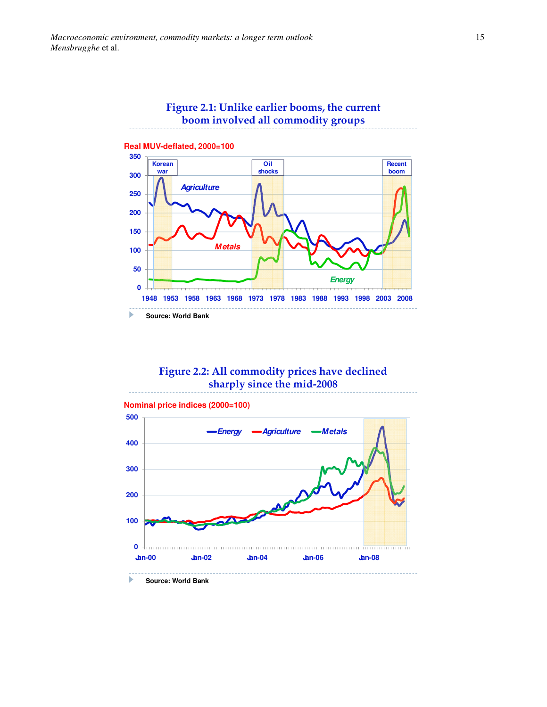

# Figure 2.2: All commodity prices have declined sharply since the mid-2008



**Source: World Bank**